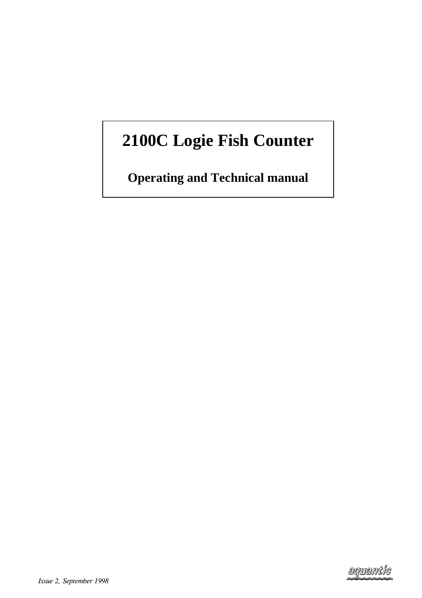# **2100C Logie Fish Counter**

**Operating and Technical manual**

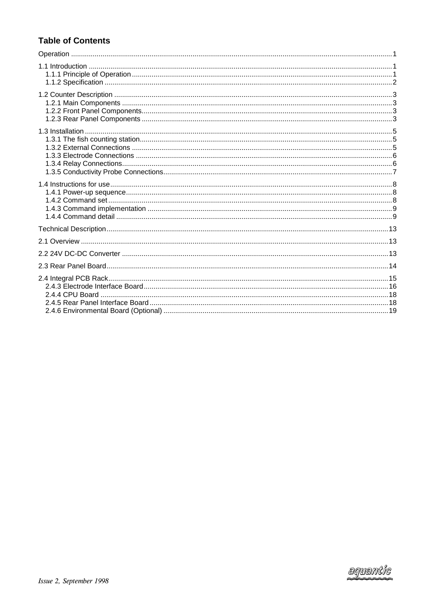# **Table of Contents**

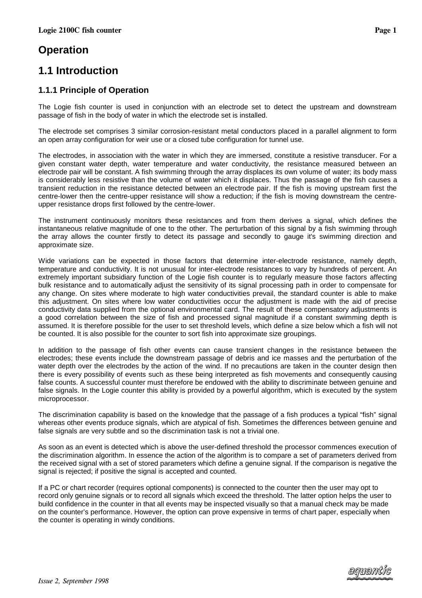# <span id="page-2-0"></span>**Operation**

# **1.1 Introduction**

# **1.1.1 Principle of Operation**

The Logie fish counter is used in conjunction with an electrode set to detect the upstream and downstream passage of fish in the body of water in which the electrode set is installed.

The electrode set comprises 3 similar corrosion-resistant metal conductors placed in a parallel alignment to form an open array configuration for weir use or a closed tube configuration for tunnel use.

The electrodes, in association with the water in which they are immersed, constitute a resistive transducer. For a given constant water depth, water temperature and water conductivity, the resistance measured between an electrode pair will be constant. A fish swimming through the array displaces its own volume of water; its body mass is considerably less resistive than the volume of water which it displaces. Thus the passage of the fish causes a transient reduction in the resistance detected between an electrode pair. If the fish is moving upstream first the centre-lower then the centre-upper resistance will show a reduction; if the fish is moving downstream the centreupper resistance drops first followed by the centre-lower.

The instrument continuously monitors these resistances and from them derives a signal, which defines the instantaneous relative magnitude of one to the other. The perturbation of this signal by a fish swimming through the array allows the counter firstly to detect its passage and secondly to gauge it's swimming direction and approximate size.

Wide variations can be expected in those factors that determine inter-electrode resistance, namely depth, temperature and conductivity. It is not unusual for inter-electrode resistances to vary by hundreds of percent. An extremely important subsidiary function of the Logie fish counter is to regularly measure those factors affecting bulk resistance and to automatically adjust the sensitivity of its signal processing path in order to compensate for any change. On sites where moderate to high water conductivities prevail, the standard counter is able to make this adjustment. On sites where low water conductivities occur the adjustment is made with the aid of precise conductivity data supplied from the optional environmental card. The result of these compensatory adjustments is a good correlation between the size of fish and processed signal magnitude if a constant swimming depth is assumed. It is therefore possible for the user to set threshold levels, which define a size below which a fish will not be counted. It is also possible for the counter to sort fish into approximate size groupings.

In addition to the passage of fish other events can cause transient changes in the resistance between the electrodes; these events include the downstream passage of debris and ice masses and the perturbation of the water depth over the electrodes by the action of the wind. If no precautions are taken in the counter design then there is every possibility of events such as these being interpreted as fish movements and consequently causing false counts. A successful counter must therefore be endowed with the ability to discriminate between genuine and false signals. In the Logie counter this ability is provided by a powerful algorithm, which is executed by the system microprocessor.

The discrimination capability is based on the knowledge that the passage of a fish produces a typical "fish" signal whereas other events produce signals, which are atypical of fish. Sometimes the differences between genuine and false signals are very subtle and so the discrimination task is not a trivial one.

As soon as an event is detected which is above the user-defined threshold the processor commences execution of the discrimination algorithm. In essence the action of the algorithm is to compare a set of parameters derived from the received signal with a set of stored parameters which define a genuine signal. If the comparison is negative the signal is rejected; if positive the signal is accepted and counted.

If a PC or chart recorder (requires optional components) is connected to the counter then the user may opt to record only genuine signals or to record all signals which exceed the threshold. The latter option helps the user to build confidence in the counter in that all events may be inspected visually so that a manual check may be made on the counter's performance. However, the option can prove expensive in terms of chart paper, especially when the counter is operating in windy conditions.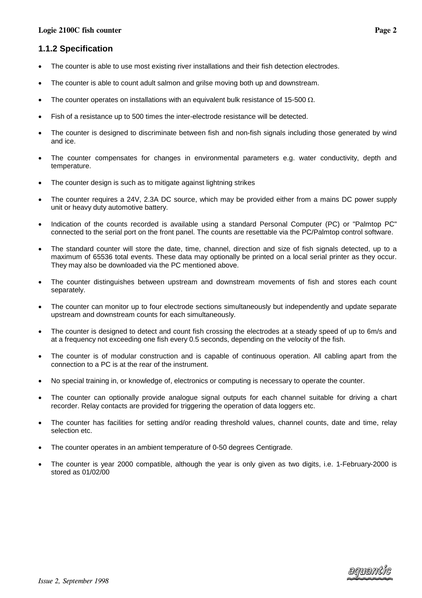# <span id="page-3-0"></span>**1.1.2 Specification**

- The counter is able to use most existing river installations and their fish detection electrodes.
- The counter is able to count adult salmon and grilse moving both up and downstream.
- The counter operates on installations with an equivalent bulk resistance of 15-500  $\Omega$ .
- Fish of a resistance up to 500 times the inter-electrode resistance will be detected.
- The counter is designed to discriminate between fish and non-fish signals including those generated by wind and ice.
- The counter compensates for changes in environmental parameters e.g. water conductivity, depth and temperature.
- The counter design is such as to mitigate against lightning strikes
- The counter requires a 24V, 2.3A DC source, which may be provided either from a mains DC power supply unit or heavy duty automotive battery.
- Indication of the counts recorded is available using a standard Personal Computer (PC) or "Palmtop PC" connected to the serial port on the front panel. The counts are resettable via the PC/Palmtop control software.
- The standard counter will store the date, time, channel, direction and size of fish signals detected, up to a maximum of 65536 total events. These data may optionally be printed on a local serial printer as they occur. They may also be downloaded via the PC mentioned above.
- The counter distinguishes between upstream and downstream movements of fish and stores each count separately.
- The counter can monitor up to four electrode sections simultaneously but independently and update separate upstream and downstream counts for each simultaneously.
- The counter is designed to detect and count fish crossing the electrodes at a steady speed of up to 6m/s and at a frequency not exceeding one fish every 0.5 seconds, depending on the velocity of the fish.
- The counter is of modular construction and is capable of continuous operation. All cabling apart from the connection to a PC is at the rear of the instrument.
- No special training in, or knowledge of, electronics or computing is necessary to operate the counter.
- The counter can optionally provide analogue signal outputs for each channel suitable for driving a chart recorder. Relay contacts are provided for triggering the operation of data loggers etc.
- The counter has facilities for setting and/or reading threshold values, channel counts, date and time, relay selection etc.
- The counter operates in an ambient temperature of 0-50 degrees Centigrade.
- The counter is year 2000 compatible, although the year is only given as two digits, i.e. 1-February-2000 is stored as 01/02/00

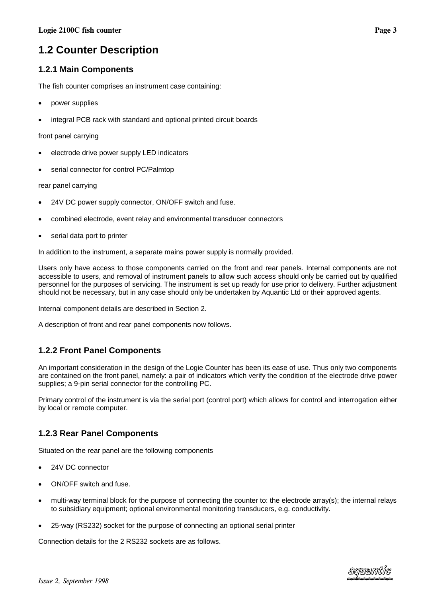# <span id="page-4-0"></span>**1.2.1 Main Components**

The fish counter comprises an instrument case containing:

- power supplies
- integral PCB rack with standard and optional printed circuit boards

front panel carrying

- electrode drive power supply LED indicators
- serial connector for control PC/Palmtop

rear panel carrying

- 24V DC power supply connector, ON/OFF switch and fuse.
- combined electrode, event relay and environmental transducer connectors
- serial data port to printer

In addition to the instrument, a separate mains power supply is normally provided.

Users only have access to those components carried on the front and rear panels. Internal components are not accessible to users, and removal of instrument panels to allow such access should only be carried out by qualified personnel for the purposes of servicing. The instrument is set up ready for use prior to delivery. Further adjustment should not be necessary, but in any case should only be undertaken by Aquantic Ltd or their approved agents.

Internal component details are described in Section 2.

A description of front and rear panel components now follows.

# **1.2.2 Front Panel Components**

An important consideration in the design of the Logie Counter has been its ease of use. Thus only two components are contained on the front panel, namely: a pair of indicators which verify the condition of the electrode drive power supplies; a 9-pin serial connector for the controlling PC.

Primary control of the instrument is via the serial port (control port) which allows for control and interrogation either by local or remote computer.

# **1.2.3 Rear Panel Components**

Situated on the rear panel are the following components

- 24V DC connector
- ON/OFF switch and fuse.
- multi-way terminal block for the purpose of connecting the counter to: the electrode array(s); the internal relays to subsidiary equipment; optional environmental monitoring transducers, e.g. conductivity.
- 25-way (RS232) socket for the purpose of connecting an optional serial printer

Connection details for the 2 RS232 sockets are as follows.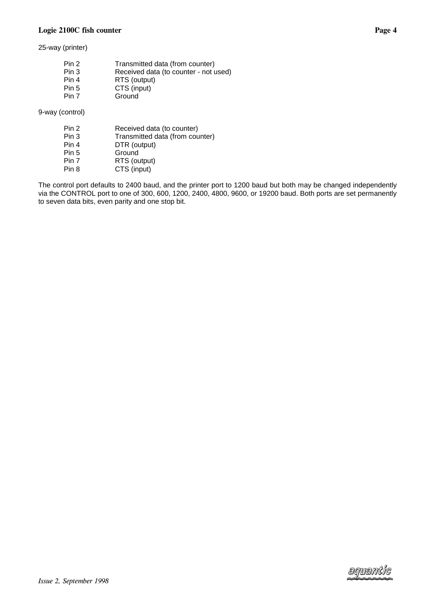25-way (printer)

| Pin 2 | Transmitted data (from counter)       |
|-------|---------------------------------------|
| Pin 3 | Received data (to counter - not used) |
|       |                                       |
| Pin 4 | RTS (output)                          |
| Pin 5 | CTS (input)                           |
| Pin 7 | Ground                                |

9-way (control)

| Pin 2 | Received data (to counter)      |
|-------|---------------------------------|
| Pin 3 | Transmitted data (from counter) |
| Pin 4 | DTR (output)                    |
| Pin 5 | Ground                          |
| Pin 7 | RTS (output)                    |
| Pin 8 | CTS (input)                     |

The control port defaults to 2400 baud, and the printer port to 1200 baud but both may be changed independently via the CONTROL port to one of 300, 600, 1200, 2400, 4800, 9600, or 19200 baud. Both ports are set permanently to seven data bits, even parity and one stop bit.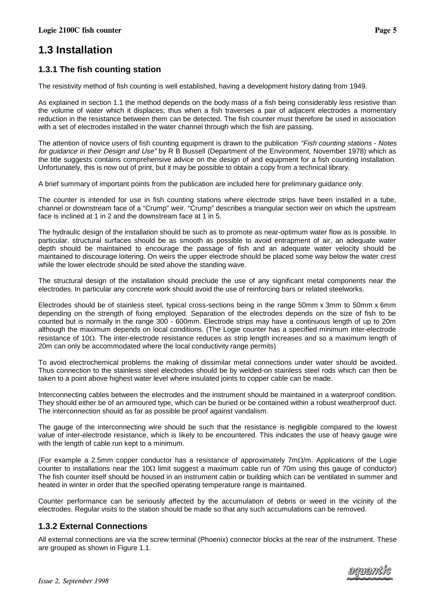# <span id="page-6-0"></span>**1.3 Installation**

# **1.3.1 The fish counting station**

The resistivity method of fish counting is well established, having a development history dating from 1949.

As explained in section 1.1 the method depends on the body mass of a fish being considerably less resistive than the volume of water which it displaces; thus when a fish traverses a pair of adjacent electrodes a momentary reduction in the resistance between them can be detected. The fish counter must therefore be used in association with a set of electrodes installed in the water channel through which the fish are passing.

The attention of novice users of fish counting equipment is drawn to the publication "Fish counting stations - Notes for guidance in their Design and Use" by R B Bussell (Department of the Environment, November 1978) which as the title suggests contains comprehensive advice on the design of and equipment for a fish counting installation. Unfortunately, this is now out of print, but it may be possible to obtain a copy from a technical library.

A brief summary of important points from the publication are included here for preliminary guidance only.

The counter is intended for use in fish counting stations where electrode strips have been installed in a tube, channel or downstream face of a "Crump" weir. "Crump" describes a triangular section weir on which the upstream face is inclined at 1 in 2 and the downstream face at 1 in 5.

The hydraulic design of the installation should be such as to promote as near-optimum water flow as is possible. In particular, structural surfaces should be as smooth as possible to avoid entrapment of air, an adequate water depth should be maintained to encourage the passage of fish and an adequate water velocity should be maintained to discourage loitering. On weirs the upper electrode should be placed some way below the water crest while the lower electrode should be sited above the standing wave.

The structural design of the installation should preclude the use of any significant metal components near the electrodes. In particular any concrete work should avoid the use of reinforcing bars or related steelworks.

Electrodes should be of stainless steel, typical cross-sections being in the range 50mm x 3mm to 50mm x 6mm depending on the strength of fixing employed. Separation of the electrodes depends on the size of fish to be counted but is normally in the range 300 - 600mm. Electrode strips may have a continuous length of up to 20m although the maximum depends on local conditions. (The Logie counter has a specified minimum inter-electrode resistance of 10 $\Omega$ . The inter-electrode resistance reduces as strip length increases and so a maximum length of 20m can only be accommodated where the local conductivity range permits)

To avoid electrochemical problems the making of dissimilar metal connections under water should be avoided. Thus connection to the stainless steel electrodes should be by welded-on stainless steel rods which can then be taken to a point above highest water level where insulated joints to copper cable can be made.

Interconnecting cables between the electrodes and the instrument should be maintained in a waterproof condition. They should either be of an armoured type, which can be buried or be contained within a robust weatherproof duct. The interconnection should as far as possible be proof against vandalism.

The gauge of the interconnecting wire should be such that the resistance is negligible compared to the lowest value of inter-electrode resistance, which is likely to be encountered. This indicates the use of heavy gauge wire with the length of cable run kept to a minimum.

(For example a 2.5mm copper conductor has a resistance of approximately 7m $\Omega/m$ . Applications of the Logie counter to installations near the 10 $\Omega$  limit suggest a maximum cable run of 70m using this gauge of conductor) The fish counter itself should be housed in an instrument cabin or building which can be ventilated in summer and heated in winter in order that the specified operating temperature range is maintained.

Counter performance can be seriously affected by the accumulation of debris or weed in the vicinity of the electrodes. Regular visits to the station should be made so that any such accumulations can be removed.

### **1.3.2 External Connections**

All external connections are via the screw terminal (Phoenix) connector blocks at the rear of the instrument. These are grouped as shown in Figure 1.1.

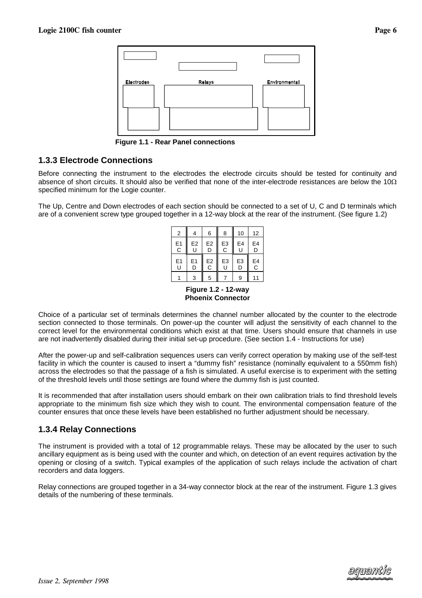

**Figure 1.1 - Rear Panel connections**

### <span id="page-7-0"></span>**1.3.3 Electrode Connections**

Before connecting the instrument to the electrodes the electrode circuits should be tested for continuity and absence of short circuits. It should also be verified that none of the inter-electrode resistances are below the  $10\Omega$ specified minimum for the Logie counter.

The Up, Centre and Down electrodes of each section should be connected to a set of U, C and D terminals which are of a convenient screw type grouped together in a 12-way block at the rear of the instrument. (See figure 1.2)

| 2       |                | 6              | 8              | 10 | 12               |
|---------|----------------|----------------|----------------|----|------------------|
| E1<br>C | E <sub>2</sub> | E <sub>2</sub> | E <sub>3</sub> | E4 | E4               |
|         | U              | D              | C              | U  | D                |
| E1      | E <sub>1</sub> | E <sub>2</sub> | E <sub>3</sub> | E3 | E4               |
| U       | D              | С              | U              | D  | $\bar{\text{c}}$ |
|         | 3              | 5              |                | 9  |                  |

**Figure 1.2 - 12-way Phoenix Connector**

Choice of a particular set of terminals determines the channel number allocated by the counter to the electrode section connected to those terminals. On power-up the counter will adjust the sensitivity of each channel to the correct level for the environmental conditions which exist at that time. Users should ensure that channels in use are not inadvertently disabled during their initial set-up procedure. (See section 1.4 - Instructions for use)

After the power-up and self-calibration sequences users can verify correct operation by making use of the self-test facility in which the counter is caused to insert a "dummy fish" resistance (nominally equivalent to a 550mm fish) across the electrodes so that the passage of a fish is simulated. A useful exercise is to experiment with the setting of the threshold levels until those settings are found where the dummy fish is just counted.

It is recommended that after installation users should embark on their own calibration trials to find threshold levels appropriate to the minimum fish size which they wish to count. The environmental compensation feature of the counter ensures that once these levels have been established no further adjustment should be necessary.

### **1.3.4 Relay Connections**

The instrument is provided with a total of 12 programmable relays. These may be allocated by the user to such ancillary equipment as is being used with the counter and which, on detection of an event requires activation by the opening or closing of a switch. Typical examples of the application of such relays include the activation of chart recorders and data loggers.

Relay connections are grouped together in a 34-way connector block at the rear of the instrument. Figure 1.3 gives details of the numbering of these terminals.

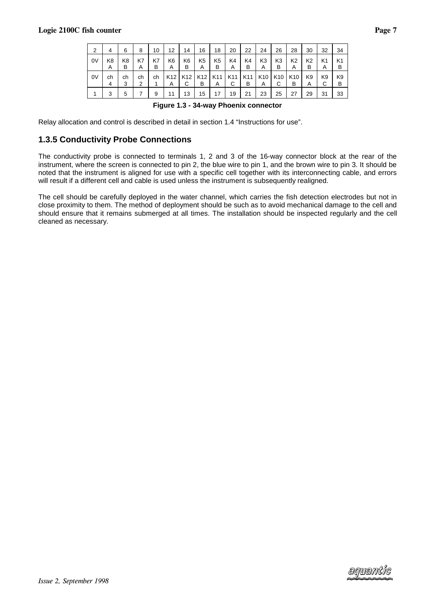| 2  | 4       | 6                   | 8       | 10      | 12                   | 14                   | 16                  | 18                  | 20                   | 22       | 24                   | 26                   | 28                   | 30                  | 32      | 34                  |
|----|---------|---------------------|---------|---------|----------------------|----------------------|---------------------|---------------------|----------------------|----------|----------------------|----------------------|----------------------|---------------------|---------|---------------------|
| 0V | K8<br>A | K <sub>8</sub><br>в | K7<br>A | K7<br>в | K6<br>A              | K <sub>6</sub><br>в  | K <sub>5</sub><br>Α | K <sub>5</sub><br>в | K4<br>A              | K4<br>в  | K <sub>3</sub><br>A  | K <sub>3</sub><br>в  | K <sub>2</sub><br>A  | K <sub>2</sub><br>в | K1<br>A | K <sub>1</sub><br>в |
| 0V | ch<br>4 | ch<br>3             | ch<br>2 | ch      | K <sub>12</sub><br>A | K <sub>12</sub><br>U | K12<br>в            | K11<br>A            | K <sub>11</sub><br>С | K11<br>в | K <sub>10</sub><br>A | K <sub>10</sub><br>С | K <sub>10</sub><br>в | K <sub>9</sub><br>A | K9<br>◡ | K9<br>в             |
|    | 3       | 5                   |         | 9       | 11                   | 13                   | 15                  | 17                  | 19                   | 21       | 23                   | 25                   | 27                   | 29                  | 31      | 33                  |

**Figure 1.3 - 34-way Phoenix connector**

<span id="page-8-0"></span>Relay allocation and control is described in detail in section 1.4 "Instructions for use".

### **1.3.5 Conductivity Probe Connections**

The conductivity probe is connected to terminals 1, 2 and 3 of the 16-way connector block at the rear of the instrument, where the screen is connected to pin 2, the blue wire to pin 1, and the brown wire to pin 3. It should be noted that the instrument is aligned for use with a specific cell together with its interconnecting cable, and errors will result if a different cell and cable is used unless the instrument is subsequently realigned.

The cell should be carefully deployed in the water channel, which carries the fish detection electrodes but not in close proximity to them. The method of deployment should be such as to avoid mechanical damage to the cell and should ensure that it remains submerged at all times. The installation should be inspected regularly and the cell cleaned as necessary.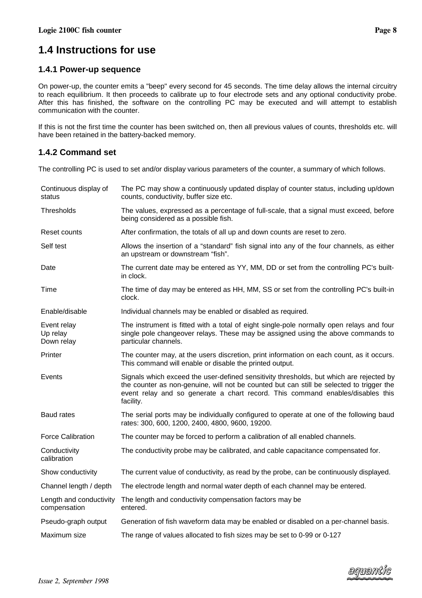# <span id="page-9-0"></span>**1.4 Instructions for use**

### **1.4.1 Power-up sequence**

On power-up, the counter emits a "beep" every second for 45 seconds. The time delay allows the internal circuitry to reach equilibrium. It then proceeds to calibrate up to four electrode sets and any optional conductivity probe. After this has finished, the software on the controlling PC may be executed and will attempt to establish communication with the counter.

If this is not the first time the counter has been switched on, then all previous values of counts, thresholds etc. will have been retained in the battery-backed memory.

# **1.4.2 Command set**

The controlling PC is used to set and/or display various parameters of the counter, a summary of which follows.

| Continuous display of<br>status         | The PC may show a continuously updated display of counter status, including up/down<br>counts, conductivity, buffer size etc.                                                                                                                                                      |
|-----------------------------------------|------------------------------------------------------------------------------------------------------------------------------------------------------------------------------------------------------------------------------------------------------------------------------------|
| Thresholds                              | The values, expressed as a percentage of full-scale, that a signal must exceed, before<br>being considered as a possible fish.                                                                                                                                                     |
| Reset counts                            | After confirmation, the totals of all up and down counts are reset to zero.                                                                                                                                                                                                        |
| Self test                               | Allows the insertion of a "standard" fish signal into any of the four channels, as either<br>an upstream or downstream "fish".                                                                                                                                                     |
| Date                                    | The current date may be entered as YY, MM, DD or set from the controlling PC's built-<br>in clock.                                                                                                                                                                                 |
| Time                                    | The time of day may be entered as HH, MM, SS or set from the controlling PC's built-in<br>clock.                                                                                                                                                                                   |
| Enable/disable                          | Individual channels may be enabled or disabled as required.                                                                                                                                                                                                                        |
| Event relay<br>Up relay<br>Down relay   | The instrument is fitted with a total of eight single-pole normally open relays and four<br>single pole changeover relays. These may be assigned using the above commands to<br>particular channels.                                                                               |
| Printer                                 | The counter may, at the users discretion, print information on each count, as it occurs.<br>This command will enable or disable the printed output.                                                                                                                                |
| Events                                  | Signals which exceed the user-defined sensitivity thresholds, but which are rejected by<br>the counter as non-genuine, will not be counted but can still be selected to trigger the<br>event relay and so generate a chart record. This command enables/disables this<br>facility. |
| <b>Baud rates</b>                       | The serial ports may be individually configured to operate at one of the following baud<br>rates: 300, 600, 1200, 2400, 4800, 9600, 19200.                                                                                                                                         |
| <b>Force Calibration</b>                | The counter may be forced to perform a calibration of all enabled channels.                                                                                                                                                                                                        |
| Conductivity<br>calibration             | The conductivity probe may be calibrated, and cable capacitance compensated for.                                                                                                                                                                                                   |
| Show conductivity                       | The current value of conductivity, as read by the probe, can be continuously displayed.                                                                                                                                                                                            |
| Channel length / depth                  | The electrode length and normal water depth of each channel may be entered.                                                                                                                                                                                                        |
| Length and conductivity<br>compensation | The length and conductivity compensation factors may be<br>entered.                                                                                                                                                                                                                |
| Pseudo-graph output                     | Generation of fish waveform data may be enabled or disabled on a per-channel basis.                                                                                                                                                                                                |
| Maximum size                            | The range of values allocated to fish sizes may be set to 0-99 or 0-127                                                                                                                                                                                                            |

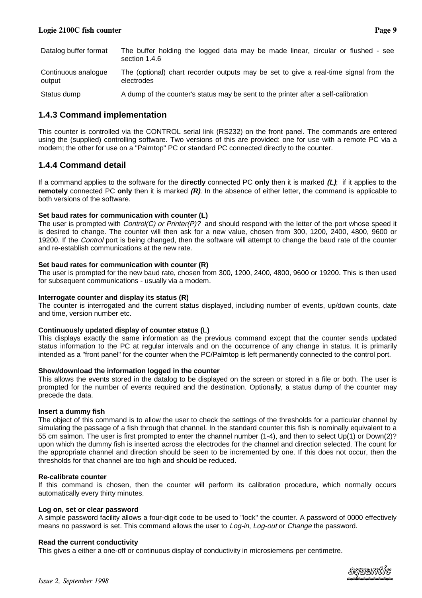<span id="page-10-0"></span>

| Datalog buffer format         | The buffer holding the logged data may be made linear, circular or flushed - see<br>section 1.4.6  |
|-------------------------------|----------------------------------------------------------------------------------------------------|
| Continuous analogue<br>output | The (optional) chart recorder outputs may be set to give a real-time signal from the<br>electrodes |
| Status dump                   | A dump of the counter's status may be sent to the printer after a self-calibration                 |

### **1.4.3 Command implementation**

This counter is controlled via the CONTROL serial link (RS232) on the front panel. The commands are entered using the (supplied) controlling software. Two versions of this are provided: one for use with a remote PC via a modem; the other for use on a "Palmtop" PC or standard PC connected directly to the counter.

### **1.4.4 Command detail**

If a command applies to the software for the **directly** connected PC **only** then it is marked **(L)**; if it applies to the **remotely** connected PC **only** then it is marked **(R)**. In the absence of either letter, the command is applicable to both versions of the software.

#### **Set baud rates for communication with counter (L)**

The user is prompted with  $Control(C)$  or  $Printer(P)?$  and should respond with the letter of the port whose speed it is desired to change. The counter will then ask for a new value, chosen from 300, 1200, 2400, 4800, 9600 or 19200. If the *Control* port is being changed, then the software will attempt to change the baud rate of the counter and re-establish communications at the new rate.

#### **Set baud rates for communication with counter (R)**

The user is prompted for the new baud rate, chosen from 300, 1200, 2400, 4800, 9600 or 19200. This is then used for subsequent communications - usually via a modem.

#### **Interrogate counter and display its status (R)**

The counter is interrogated and the current status displayed, including number of events, up/down counts, date and time, version number etc.

#### **Continuously updated display of counter status (L)**

This displays exactly the same information as the previous command except that the counter sends updated status information to the PC at regular intervals and on the occurrence of any change in status. It is primarily intended as a "front panel" for the counter when the PC/Palmtop is left permanently connected to the control port.

#### **Show/download the information logged in the counter**

This allows the events stored in the datalog to be displayed on the screen or stored in a file or both. The user is prompted for the number of events required and the destination. Optionally, a status dump of the counter may precede the data.

#### **Insert a dummy fish**

The object of this command is to allow the user to check the settings of the thresholds for a particular channel by simulating the passage of a fish through that channel. In the standard counter this fish is nominally equivalent to a 55 cm salmon. The user is first prompted to enter the channel number (1-4), and then to select Up(1) or Down(2)? upon which the dummy fish is inserted across the electrodes for the channel and direction selected. The count for the appropriate channel and direction should be seen to be incremented by one. If this does not occur, then the thresholds for that channel are too high and should be reduced.

#### **Re-calibrate counter**

If this command is chosen, then the counter will perform its calibration procedure, which normally occurs automatically every thirty minutes.

#### **Log on, set or clear password**

A simple password facility allows a four-digit code to be used to "lock" the counter. A password of 0000 effectively means no password is set. This command allows the user to Log-in, Log-out or Change the password.

#### **Read the current conductivity**

This gives a either a one-off or continuous display of conductivity in microsiemens per centimetre.

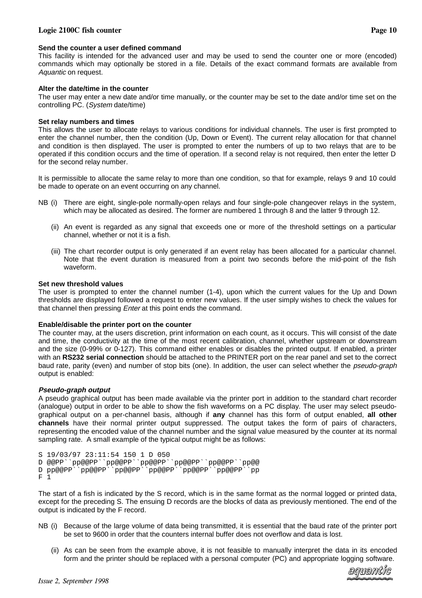#### Logie 2100C fish co

#### **Send the counter a user defined command**

This facility is intended for the advanced user and may be used to send the counter one or more (encoded) commands which may optionally be stored in a file. Details of the exact command formats are available from Aquantic on request.

#### **Alter the date/time in the counter**

The user may enter a new date and/or time manually, or the counter may be set to the date and/or time set on the controlling PC. (System date/time)

#### **Set relay numbers and times**

This allows the user to allocate relays to various conditions for individual channels. The user is first prompted to enter the channel number, then the condition (Up, Down or Event). The current relay allocation for that channel and condition is then displayed. The user is prompted to enter the numbers of up to two relays that are to be operated if this condition occurs and the time of operation. If a second relay is not required, then enter the letter D for the second relay number.

It is permissible to allocate the same relay to more than one condition, so that for example, relays 9 and 10 could be made to operate on an event occurring on any channel.

- NB (i) There are eight, single-pole normally-open relays and four single-pole changeover relays in the system, which may be allocated as desired. The former are numbered 1 through 8 and the latter 9 through 12.
	- (ii) An event is regarded as any signal that exceeds one or more of the threshold settings on a particular channel, whether or not it is a fish.
	- (iii) The chart recorder output is only generated if an event relay has been allocated for a particular channel. Note that the event duration is measured from a point two seconds before the mid-point of the fish waveform.

#### **Set new threshold values**

The user is prompted to enter the channel number (1-4), upon which the current values for the Up and Down thresholds are displayed followed a request to enter new values. If the user simply wishes to check the values for that channel then pressing *Enter* at this point ends the command.

#### **Enable/disable the printer port on the counter**

The counter may, at the users discretion, print information on each count, as it occurs. This will consist of the date and time, the conductivity at the time of the most recent calibration, channel, whether upstream or downstream and the size (0-99% or 0-127). This command either enables or disables the printed output. If enabled, a printer with an **RS232 serial connection** should be attached to the PRINTER port on the rear panel and set to the correct baud rate, parity (even) and number of stop bits (one). In addition, the user can select whether the *pseudo-graph* output is enabled:

#### **Pseudo-graph output**

A pseudo graphical output has been made available via the printer port in addition to the standard chart recorder (analogue) output in order to be able to show the fish waveforms on a PC display. The user may select pseudographical output on a per-channel basis, although if **any** channel has this form of output enabled, **all other channels** have their normal printer output suppressed. The output takes the form of pairs of characters, representing the encoded value of the channel number and the signal value measured by the counter at its normal sampling rate. A small example of the typical output might be as follows:

```
S 19/03/97 23:11:54 150 1 D 050
D @@PP``pp@@PP``pp@@PP``pp@@PP``pp@@PP``pp@@PP``pp@@
D pp@@PP``pp@@PP``pp@@PP``pp@@PP``pp@@PP``pp@@PP``pp
F 1
```
The start of a fish is indicated by the S record, which is in the same format as the normal logged or printed data, except for the preceding S. The ensuing D records are the blocks of data as previously mentioned. The end of the output is indicated by the F record.

- NB (i) Because of the large volume of data being transmitted, it is essential that the baud rate of the printer port be set to 9600 in order that the counters internal buffer does not overflow and data is lost.
	- (ii) As can be seen from the example above, it is not feasible to manually interpret the data in its encoded form and the printer should be replaced with a personal computer (PC) and appropriate logging software.

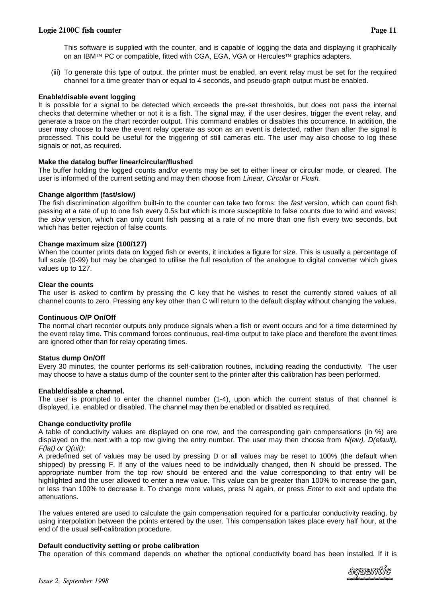This software is supplied with the counter, and is capable of logging the data and displaying it graphically on an IBM<sup>TM</sup> PC or compatible, fitted with CGA, EGA, VGA or Hercules<sup>TM</sup> graphics adapters.

(iii) To generate this type of output, the printer must be enabled, an event relay must be set for the required channel for a time greater than or equal to 4 seconds, and pseudo-graph output must be enabled.

#### **Enable/disable event logging**

It is possible for a signal to be detected which exceeds the pre-set thresholds, but does not pass the internal checks that determine whether or not it is a fish. The signal may, if the user desires, trigger the event relay, and generate a trace on the chart recorder output. This command enables or disables this occurrence. In addition, the user may choose to have the event relay operate as soon as an event is detected, rather than after the signal is processed. This could be useful for the triggering of still cameras etc. The user may also choose to log these signals or not, as required.

#### **Make the datalog buffer linear/circular/flushed**

The buffer holding the logged counts and/or events may be set to either linear or circular mode, or cleared. The user is informed of the current setting and may then choose from Linear, Circular or Flush.

#### **Change algorithm (fast/slow)**

The fish discrimination algorithm built-in to the counter can take two forms: the *fast* version, which can count fish passing at a rate of up to one fish every 0.5s but which is more susceptible to false counts due to wind and waves; the slow version, which can only count fish passing at a rate of no more than one fish every two seconds, but which has better rejection of false counts.

#### **Change maximum size (100/127)**

When the counter prints data on logged fish or events, it includes a figure for size. This is usually a percentage of full scale (0-99) but may be changed to utilise the full resolution of the analogue to digital converter which gives values up to 127.

#### **Clear the counts**

The user is asked to confirm by pressing the C key that he wishes to reset the currently stored values of all channel counts to zero. Pressing any key other than C will return to the default display without changing the values.

#### **Continuous O/P On/Off**

The normal chart recorder outputs only produce signals when a fish or event occurs and for a time determined by the event relay time. This command forces continuous, real-time output to take place and therefore the event times are ignored other than for relay operating times.

#### **Status dump On/Off**

Every 30 minutes, the counter performs its self-calibration routines, including reading the conductivity. The user may choose to have a status dump of the counter sent to the printer after this calibration has been performed.

#### **Enable/disable a channel.**

The user is prompted to enter the channel number (1-4), upon which the current status of that channel is displayed, i.e. enabled or disabled. The channel may then be enabled or disabled as required.

#### **Change conductivity profile**

A table of conductivity values are displayed on one row, and the corresponding gain compensations (in %) are displayed on the next with a top row giving the entry number. The user may then choose from N(ew), D(efault), F(lat) or Q(uit):

A predefined set of values may be used by pressing D or all values may be reset to 100% (the default when shipped) by pressing F. If any of the values need to be individually changed, then N should be pressed. The appropriate number from the top row should be entered and the value corresponding to that entry will be highlighted and the user allowed to enter a new value. This value can be greater than 100% to increase the gain, or less than 100% to decrease it. To change more values, press N again, or press Enter to exit and update the attenuations.

The values entered are used to calculate the gain compensation required for a particular conductivity reading, by using interpolation between the points entered by the user. This compensation takes place every half hour, at the end of the usual self-calibration procedure.

#### **Default conductivity setting or probe calibration**

The operation of this command depends on whether the optional conductivity board has been installed. If it is

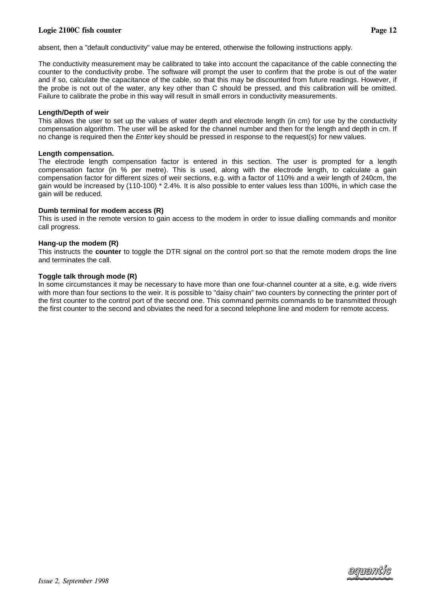#### Logie 2100C fish co

The conductivity measurement may be calibrated to take into account the capacitance of the cable connecting the counter to the conductivity probe. The software will prompt the user to confirm that the probe is out of the water and if so, calculate the capacitance of the cable, so that this may be discounted from future readings. However, if the probe is not out of the water, any key other than C should be pressed, and this calibration will be omitted. Failure to calibrate the probe in this way will result in small errors in conductivity measurements.

#### **Length/Depth of weir**

This allows the user to set up the values of water depth and electrode length (in cm) for use by the conductivity compensation algorithm. The user will be asked for the channel number and then for the length and depth in cm. If no change is required then the *Enter* key should be pressed in response to the request(s) for new values.

#### **Length compensation.**

The electrode length compensation factor is entered in this section. The user is prompted for a length compensation factor (in % per metre). This is used, along with the electrode length, to calculate a gain compensation factor for different sizes of weir sections, e.g. with a factor of 110% and a weir length of 240cm, the gain would be increased by (110-100) \* 2.4%. It is also possible to enter values less than 100%, in which case the gain will be reduced.

#### **Dumb terminal for modem access (R)**

This is used in the remote version to gain access to the modem in order to issue dialling commands and monitor call progress.

#### **Hang-up the modem (R)**

This instructs the **counter** to toggle the DTR signal on the control port so that the remote modem drops the line and terminates the call.

#### **Toggle talk through mode (R)**

In some circumstances it may be necessary to have more than one four-channel counter at a site, e.g. wide rivers with more than four sections to the weir. It is possible to "daisy chain" two counters by connecting the printer port of the first counter to the control port of the second one. This command permits commands to be transmitted through the first counter to the second and obviates the need for a second telephone line and modem for remote access.



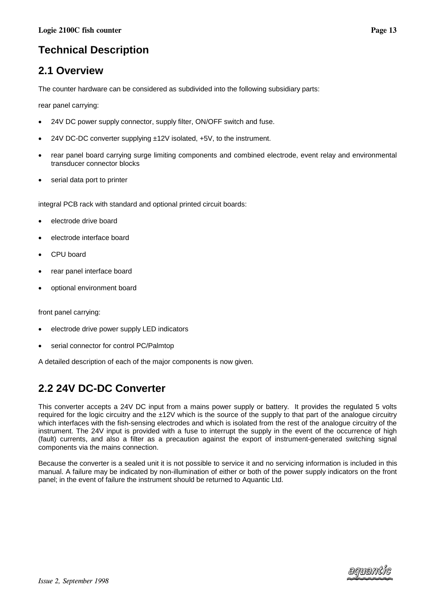# <span id="page-14-0"></span>**Technical Description**

# **2.1 Overview**

The counter hardware can be considered as subdivided into the following subsidiary parts:

rear panel carrying:

- 24V DC power supply connector, supply filter, ON/OFF switch and fuse.
- 24V DC-DC converter supplying ±12V isolated, +5V, to the instrument.
- rear panel board carrying surge limiting components and combined electrode, event relay and environmental transducer connector blocks
- serial data port to printer

integral PCB rack with standard and optional printed circuit boards:

- electrode drive board
- electrode interface board
- CPU board
- rear panel interface board
- optional environment board

front panel carrying:

- electrode drive power supply LED indicators
- serial connector for control PC/Palmtop

A detailed description of each of the major components is now given.

# **2.2 24V DC-DC Converter**

This converter accepts a 24V DC input from a mains power supply or battery. It provides the regulated 5 volts required for the logic circuitry and the ±12V which is the source of the supply to that part of the analogue circuitry which interfaces with the fish-sensing electrodes and which is isolated from the rest of the analogue circuitry of the instrument. The 24V input is provided with a fuse to interrupt the supply in the event of the occurrence of high (fault) currents, and also a filter as a precaution against the export of instrument-generated switching signal components via the mains connection.

Because the converter is a sealed unit it is not possible to service it and no servicing information is included in this manual. A failure may be indicated by non-illumination of either or both of the power supply indicators on the front panel; in the event of failure the instrument should be returned to Aquantic Ltd.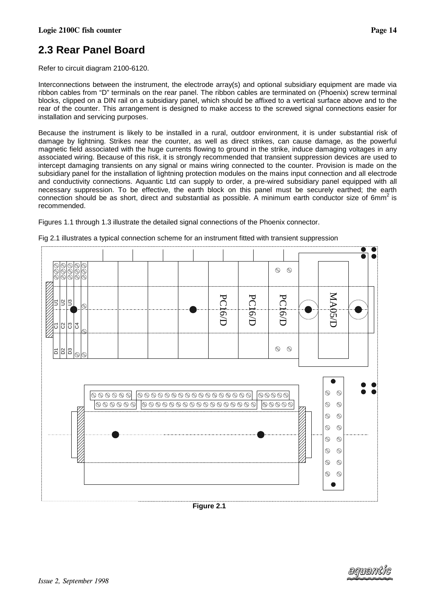# <span id="page-15-0"></span>**2.3 Rear Panel Board**

Refer to circuit diagram 2100-6120.

Interconnections between the instrument, the electrode array(s) and optional subsidiary equipment are made via ribbon cables from "D" terminals on the rear panel. The ribbon cables are terminated on (Phoenix) screw terminal blocks, clipped on a DIN rail on a subsidiary panel, which should be affixed to a vertical surface above and to the rear of the counter. This arrangement is designed to make access to the screwed signal connections easier for installation and servicing purposes.

Because the instrument is likely to be installed in a rural, outdoor environment, it is under substantial risk of damage by lightning. Strikes near the counter, as well as direct strikes, can cause damage, as the powerful magnetic field associated with the huge currents flowing to ground in the strike, induce damaging voltages in any associated wiring. Because of this risk, it is strongly recommended that transient suppression devices are used to intercept damaging transients on any signal or mains wiring connected to the counter. Provision is made on the subsidiary panel for the installation of lightning protection modules on the mains input connection and all electrode and conductivity connections. Aquantic Ltd can supply to order, a pre-wired subsidiary panel equipped with all necessary suppression. To be effective, the earth block on this panel must be securely earthed; the earth connection should be as short, direct and substantial as possible. A minimum earth conductor size of  $6mm<sup>2</sup>$  is recommended.

Figures 1.1 through 1.3 illustrate the detailed signal connections of the Phoenix connector.



Fig 2.1 illustrates a typical connection scheme for an instrument fitted with transient suppression

**Figure 2.1**

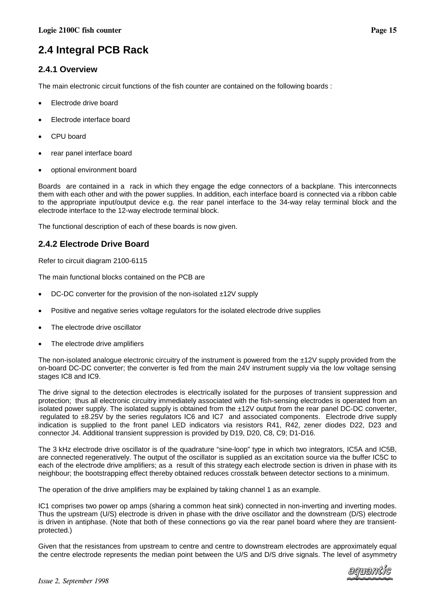# <span id="page-16-0"></span>**2.4 Integral PCB Rack**

# **2.4.1 Overview**

The main electronic circuit functions of the fish counter are contained on the following boards :

- Electrode drive board
- Electrode interface board
- CPU board
- rear panel interface board
- optional environment board

Boards are contained in a rack in which they engage the edge connectors of a backplane. This interconnects them with each other and with the power supplies. In addition, each interface board is connected via a ribbon cable to the appropriate input/output device e.g. the rear panel interface to the 34-way relay terminal block and the electrode interface to the 12-way electrode terminal block.

The functional description of each of these boards is now given.

# **2.4.2 Electrode Drive Board**

Refer to circuit diagram 2100-6115

The main functional blocks contained on the PCB are

- DC-DC converter for the provision of the non-isolated ±12V supply
- Positive and negative series voltage regulators for the isolated electrode drive supplies
- The electrode drive oscillator
- The electrode drive amplifiers

The non-isolated analogue electronic circuitry of the instrument is powered from the ±12V supply provided from the on-board DC-DC converter; the converter is fed from the main 24V instrument supply via the low voltage sensing stages IC8 and IC9.

The drive signal to the detection electrodes is electrically isolated for the purposes of transient suppression and protection; thus all electronic circuitry immediately associated with the fish-sensing electrodes is operated from an isolated power supply. The isolated supply is obtained from the ±12V output from the rear panel DC-DC converter, regulated to ±8.25V by the series regulators IC6 and IC7 and associated components. Electrode drive supply indication is supplied to the front panel LED indicators via resistors R41, R42, zener diodes D22, D23 and connector J4. Additional transient suppression is provided by D19, D20, C8, C9; D1-D16.

The 3 kHz electrode drive oscillator is of the quadrature "sine-loop" type in which two integrators, IC5A and IC5B, are connected regeneratively. The output of the oscillator is supplied as an excitation source via the buffer IC5C to each of the electrode drive amplifiers; as a result of this strategy each electrode section is driven in phase with its neighbour; the bootstrapping effect thereby obtained reduces crosstalk between detector sections to a minimum.

The operation of the drive amplifiers may be explained by taking channel 1 as an example.

IC1 comprises two power op amps (sharing a common heat sink) connected in non-inverting and inverting modes. Thus the upstream (U/S) electrode is driven in phase with the drive oscillator and the downstream (D/S) electrode is driven in antiphase. (Note that both of these connections go via the rear panel board where they are transientprotected.)

Given that the resistances from upstream to centre and centre to downstream electrodes are approximately equal the centre electrode represents the median point between the U/S and D/S drive signals. The level of asymmetry

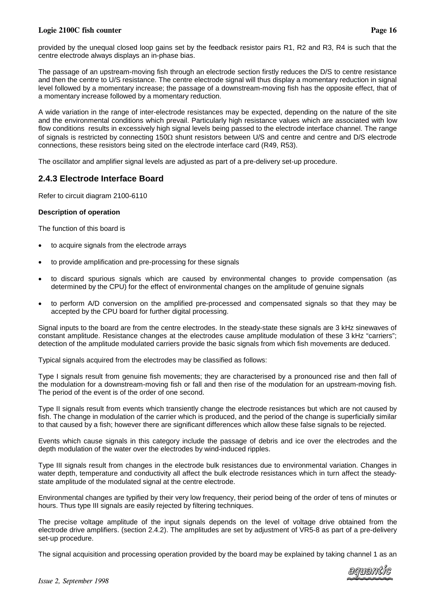#### <span id="page-17-0"></span>Logie 2100C fish co

provided by the unequal closed loop gains set by the feedback resistor pairs R1, R2 and R3, R4 is such that the centre electrode always displays an in-phase bias.

The passage of an upstream-moving fish through an electrode section firstly reduces the D/S to centre resistance and then the centre to U/S resistance. The centre electrode signal will thus display a momentary reduction in signal level followed by a momentary increase; the passage of a downstream-moving fish has the opposite effect, that of a momentary increase followed by a momentary reduction.

A wide variation in the range of inter-electrode resistances may be expected, depending on the nature of the site and the environmental conditions which prevail. Particularly high resistance values which are associated with low flow conditions results in excessively high signal levels being passed to the electrode interface channel. The range of signals is restricted by connecting  $150\Omega$  shunt resistors between U/S and centre and centre and D/S electrode connections, these resistors being sited on the electrode interface card (R49, R53).

The oscillator and amplifier signal levels are adjusted as part of a pre-delivery set-up procedure.

### **2.4.3 Electrode Interface Board**

Refer to circuit diagram 2100-6110

#### **Description of operation**

The function of this board is

- to acquire signals from the electrode arrays
- to provide amplification and pre-processing for these signals
- to discard spurious signals which are caused by environmental changes to provide compensation (as determined by the CPU) for the effect of environmental changes on the amplitude of genuine signals
- to perform A/D conversion on the amplified pre-processed and compensated signals so that they may be accepted by the CPU board for further digital processing.

Signal inputs to the board are from the centre electrodes. In the steady-state these signals are 3 kHz sinewaves of constant amplitude. Resistance changes at the electrodes cause amplitude modulation of these 3 kHz "carriers"; detection of the amplitude modulated carriers provide the basic signals from which fish movements are deduced.

Typical signals acquired from the electrodes may be classified as follows:

Type I signals result from genuine fish movements; they are characterised by a pronounced rise and then fall of the modulation for a downstream-moving fish or fall and then rise of the modulation for an upstream-moving fish. The period of the event is of the order of one second.

Type II signals result from events which transiently change the electrode resistances but which are not caused by fish. The change in modulation of the carrier which is produced, and the period of the change is superficially similar to that caused by a fish; however there are significant differences which allow these false signals to be rejected.

Events which cause signals in this category include the passage of debris and ice over the electrodes and the depth modulation of the water over the electrodes by wind-induced ripples.

Type III signals result from changes in the electrode bulk resistances due to environmental variation. Changes in water depth, temperature and conductivity all affect the bulk electrode resistances which in turn affect the steadystate amplitude of the modulated signal at the centre electrode.

Environmental changes are typified by their very low frequency, their period being of the order of tens of minutes or hours. Thus type III signals are easily rejected by filtering techniques.

The precise voltage amplitude of the input signals depends on the level of voltage drive obtained from the electrode drive amplifiers. (section 2.4.2). The amplitudes are set by adjustment of VR5-8 as part of a pre-delivery set-up procedure.

The signal acquisition and processing operation provided by the board may be explained by taking channel 1 as an

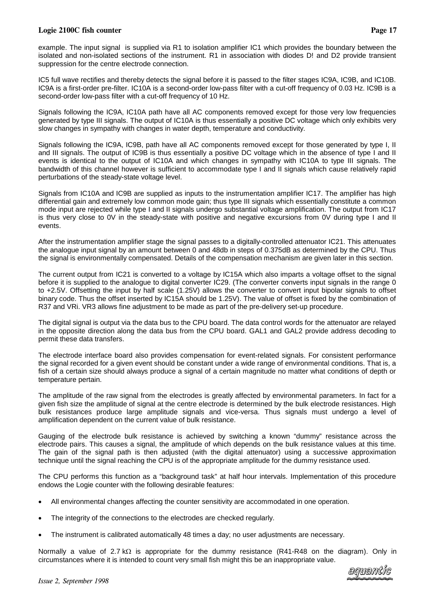#### Logie 2100C fish co

example. The input signal is supplied via R1 to isolation amplifier IC1 which provides the boundary between the isolated and non-isolated sections of the instrument. R1 in association with diodes D! and D2 provide transient suppression for the centre electrode connection.

IC5 full wave rectifies and thereby detects the signal before it is passed to the filter stages IC9A, IC9B, and IC10B. IC9A is a first-order pre-filter. IC10A is a second-order low-pass filter with a cut-off frequency of 0.03 Hz. IC9B is a second-order low-pass filter with a cut-off frequency of 10 Hz.

Signals following the IC9A, IC10A path have all AC components removed except for those very low frequencies generated by type III signals. The output of IC10A is thus essentially a positive DC voltage which only exhibits very slow changes in sympathy with changes in water depth, temperature and conductivity.

Signals following the IC9A, IC9B, path have all AC components removed except for those generated by type I, II and III signals. The output of IC9B is thus essentially a positive DC voltage which in the absence of type I and II events is identical to the output of IC10A and which changes in sympathy with IC10A to type III signals. The bandwidth of this channel however is sufficient to accommodate type I and II signals which cause relatively rapid perturbations of the steady-state voltage level.

Signals from IC10A and IC9B are supplied as inputs to the instrumentation amplifier IC17. The amplifier has high differential gain and extremely low common mode gain; thus type III signals which essentially constitute a common mode input are rejected while type I and II signals undergo substantial voltage amplification. The output from IC17 is thus very close to 0V in the steady-state with positive and negative excursions from 0V during type I and II events.

After the instrumentation amplifier stage the signal passes to a digitally-controlled attenuator IC21. This attenuates the analogue input signal by an amount between 0 and 48db in steps of 0.375dB as determined by the CPU. Thus the signal is environmentally compensated. Details of the compensation mechanism are given later in this section.

The current output from IC21 is converted to a voltage by IC15A which also imparts a voltage offset to the signal before it is supplied to the analogue to digital converter IC29. (The converter converts input signals in the range 0 to +2.5V. Offsetting the input by half scale (1.25V) allows the converter to convert input bipolar signals to offset binary code. Thus the offset inserted by IC15A should be 1.25V). The value of offset is fixed by the combination of R37 and VRi. VR3 allows fine adjustment to be made as part of the pre-delivery set-up procedure.

The digital signal is output via the data bus to the CPU board. The data control words for the attenuator are relayed in the opposite direction along the data bus from the CPU board. GAL1 and GAL2 provide address decoding to permit these data transfers.

The electrode interface board also provides compensation for event-related signals. For consistent performance the signal recorded for a given event should be constant under a wide range of environmental conditions. That is, a fish of a certain size should always produce a signal of a certain magnitude no matter what conditions of depth or temperature pertain.

The amplitude of the raw signal from the electrodes is greatly affected by environmental parameters. In fact for a given fish size the amplitude of signal at the centre electrode is determined by the bulk electrode resistances. High bulk resistances produce large amplitude signals and vice-versa. Thus signals must undergo a level of amplification dependent on the current value of bulk resistance.

Gauging of the electrode bulk resistance is achieved by switching a known "dummy" resistance across the electrode pairs. This causes a signal, the amplitude of which depends on the bulk resistance values at this time. The gain of the signal path is then adjusted (with the digital attenuator) using a successive approximation technique until the signal reaching the CPU is of the appropriate amplitude for the dummy resistance used.

The CPU performs this function as a "background task" at half hour intervals. Implementation of this procedure endows the Logie counter with the following desirable features:

- All environmental changes affecting the counter sensitivity are accommodated in one operation.
- The integrity of the connections to the electrodes are checked regularly.
- The instrument is calibrated automatically 48 times a day; no user adjustments are necessary.

Normally a value of 2.7 k $\Omega$  is appropriate for the dummy resistance (R41-R48 on the diagram). Only in circumstances where it is intended to count very small fish might this be an inappropriate value.

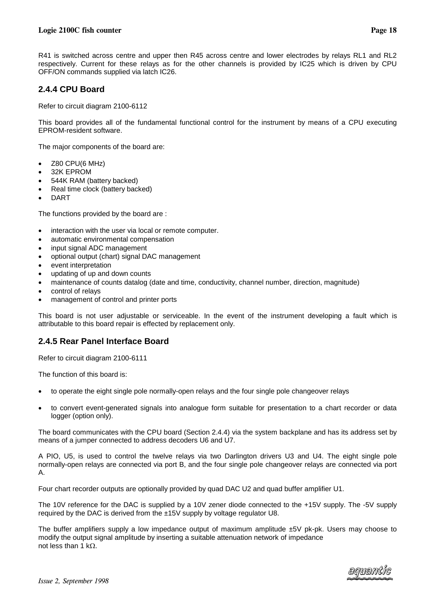<span id="page-19-0"></span>R41 is switched across centre and upper then R45 across centre and lower electrodes by relays RL1 and RL2 respectively. Current for these relays as for the other channels is provided by IC25 which is driven by CPU OFF/ON commands supplied via latch IC26.

# **2.4.4 CPU Board**

Refer to circuit diagram 2100-6112

This board provides all of the fundamental functional control for the instrument by means of a CPU executing EPROM-resident software.

The major components of the board are:

- Z80 CPU(6 MHz)
- 32K EPROM
- 544K RAM (battery backed)
- Real time clock (battery backed)
- DART

The functions provided by the board are :

- interaction with the user via local or remote computer.
- automatic environmental compensation
- input signal ADC management
- optional output (chart) signal DAC management
- event interpretation
- updating of up and down counts
- maintenance of counts datalog (date and time, conductivity, channel number, direction, magnitude)
- control of relays
- management of control and printer ports

This board is not user adjustable or serviceable. In the event of the instrument developing a fault which is attributable to this board repair is effected by replacement only.

# **2.4.5 Rear Panel Interface Board**

Refer to circuit diagram 2100-6111

The function of this board is:

- to operate the eight single pole normally-open relays and the four single pole changeover relays
- to convert event-generated signals into analogue form suitable for presentation to a chart recorder or data logger (option only).

The board communicates with the CPU board (Section 2.4.4) via the system backplane and has its address set by means of a jumper connected to address decoders U6 and U7.

A PIO, U5, is used to control the twelve relays via two Darlington drivers U3 and U4. The eight single pole normally-open relays are connected via port B, and the four single pole changeover relays are connected via port A.

Four chart recorder outputs are optionally provided by quad DAC U2 and quad buffer amplifier U1.

The 10V reference for the DAC is supplied by a 10V zener diode connected to the +15V supply. The -5V supply required by the DAC is derived from the ±15V supply by voltage regulator U8.

The buffer amplifiers supply a low impedance output of maximum amplitude ±5V pk-pk. Users may choose to modify the output signal amplitude by inserting a suitable attenuation network of impedance not less than 1 k $\Omega$ .

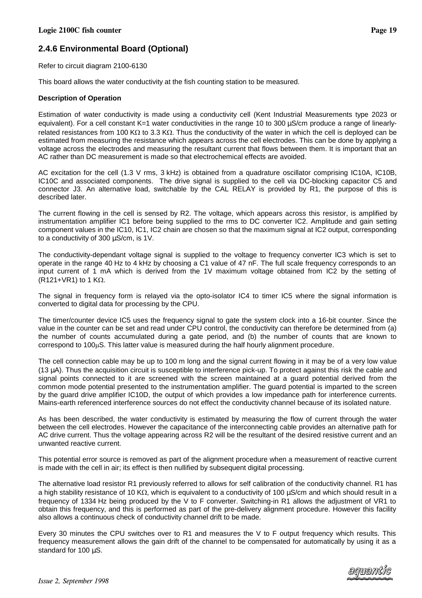# <span id="page-20-0"></span>**2.4.6 Environmental Board (Optional)**

Refer to circuit diagram 2100-6130

This board allows the water conductivity at the fish counting station to be measured.

#### **Description of Operation**

Estimation of water conductivity is made using a conductivity cell (Kent Industrial Measurements type 2023 or equivalent). For a cell constant K=1 water conductivities in the range 10 to 300 uS/cm produce a range of linearlyrelated resistances from 100 K $\Omega$  to 3.3 K $\Omega$ . Thus the conductivity of the water in which the cell is deployed can be estimated from measuring the resistance which appears across the cell electrodes. This can be done by applying a voltage across the electrodes and measuring the resultant current that flows between them. It is important that an AC rather than DC measurement is made so that electrochemical effects are avoided.

AC excitation for the cell (1.3 V rms, 3 kHz) is obtained from a quadrature oscillator comprising IC10A, IC10B, IC10C and associated components. The drive signal is supplied to the cell via DC-blocking capacitor C5 and connector J3. An alternative load, switchable by the CAL RELAY is provided by R1, the purpose of this is described later.

The current flowing in the cell is sensed by R2. The voltage, which appears across this resistor, is amplified by instrumentation amplifier IC1 before being supplied to the rms to DC converter IC2. Amplitude and gain setting component values in the IC10, IC1, IC2 chain are chosen so that the maximum signal at IC2 output, corresponding to a conductivity of 300 µS/cm, is 1V.

The conductivity-dependant voltage signal is supplied to the voltage to frequency converter IC3 which is set to operate in the range 40 Hz to 4 kHz by choosing a C1 value of 47 nF. The full scale frequency corresponds to an input current of 1 mA which is derived from the 1V maximum voltage obtained from IC2 by the setting of (R121+VR1) to 1 K $\Omega$ .

The signal in frequency form is relayed via the opto-isolator IC4 to timer IC5 where the signal information is converted to digital data for processing by the CPU.

The timer/counter device IC5 uses the frequency signal to gate the system clock into a 16-bit counter. Since the value in the counter can be set and read under CPU control, the conductivity can therefore be determined from (a) the number of counts accumulated during a gate period, and (b) the number of counts that are known to  $correspond to 100<sub>µ</sub>S. This latter value is measured during the half hourly alignment procedure.$ 

The cell connection cable may be up to 100 m long and the signal current flowing in it may be of a very low value (13 µA). Thus the acquisition circuit is susceptible to interference pick-up. To protect against this risk the cable and signal points connected to it are screened with the screen maintained at a guard potential derived from the common mode potential presented to the instrumentation amplifier. The guard potential is imparted to the screen by the guard drive amplifier IC10D, the output of which provides a low impedance path for interference currents. Mains-earth referenced interference sources do not effect the conductivity channel because of its isolated nature.

As has been described, the water conductivity is estimated by measuring the flow of current through the water between the cell electrodes. However the capacitance of the interconnecting cable provides an alternative path for AC drive current. Thus the voltage appearing across R2 will be the resultant of the desired resistive current and an unwanted reactive current.

This potential error source is removed as part of the alignment procedure when a measurement of reactive current is made with the cell in air; its effect is then nullified by subsequent digital processing.

The alternative load resistor R1 previously referred to allows for self calibration of the conductivity channel. R1 has a high stability resistance of 10 K $\Omega$ , which is equivalent to a conductivity of 100  $\mu$ S/cm and which should result in a frequency of 1334 Hz being produced by the V to F converter. Switching-in R1 allows the adjustment of VR1 to obtain this frequency, and this is performed as part of the pre-delivery alignment procedure. However this facility also allows a continuous check of conductivity channel drift to be made.

Every 30 minutes the CPU switches over to R1 and measures the V to F output frequency which results. This frequency measurement allows the gain drift of the channel to be compensated for automatically by using it as a standard for 100  $\mu$ S.